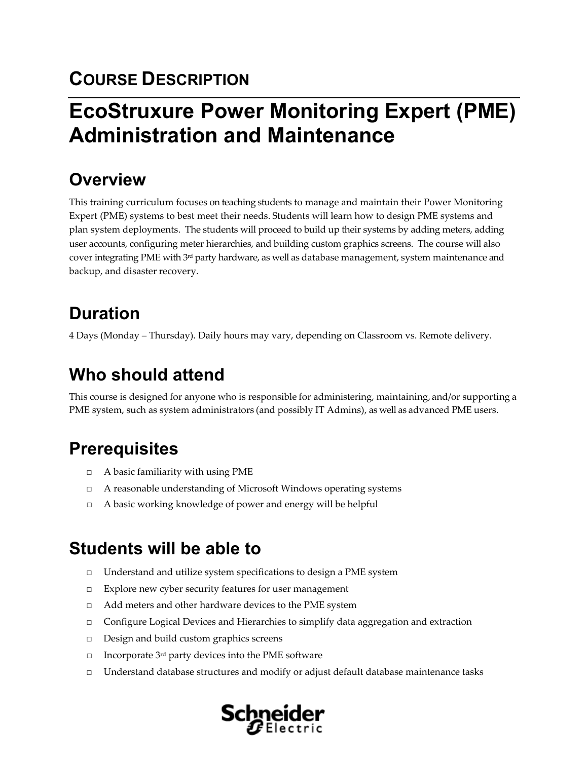## **COURSE DESCRIPTION**

# **EcoStruxure Power Monitoring Expert (PME) Administration and Maintenance**

## **Overview**

This training curriculum focuses on teaching students to manage and maintain their Power Monitoring Expert (PME) systems to best meet their needs. Students will learn how to design PME systems and plan system deployments. The students will proceed to build up their systems by adding meters, adding user accounts, configuring meter hierarchies, and building custom graphics screens. The course will also cover integrating PME with 3rd party hardware, as well as database management, system maintenance and backup, and disaster recovery.

## **Duration**

4 Days (Monday – Thursday). Daily hours may vary, depending on Classroom vs. Remote delivery.

## **Who should attend**

This course is designed for anyone who is responsible for administering, maintaining, and/or supporting a PME system, such as system administrators (and possibly IT Admins), as well as advanced PME users.

## **Prerequisites**

- $\Box$  A basic familiarity with using PME
- □ A reasonable understanding of Microsoft Windows operating systems
- □ A basic working knowledge of power and energy will be helpful

## **Students will be able to**

- □ Understand and utilize system specifications to design a PME system
- □ Explore new cyber security features for user management
- □ Add meters and other hardware devices to the PME system
- □ Configure Logical Devices and Hierarchies to simplify data aggregation and extraction
- □ Design and build custom graphics screens
- $\Box$  Incorporate 3<sup>rd</sup> party devices into the PME software
- $\Box$  Understand database structures and modify or adjust default database maintenance tasks

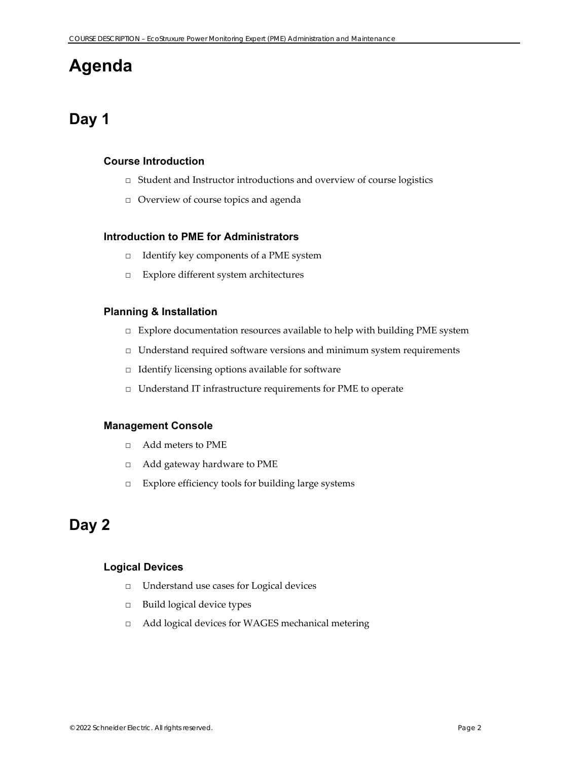## **Agenda**

### **Day 1**

### **Course Introduction**

- □ Student and Instructor introductions and overview of course logistics
- □ Overview of course topics and agenda

### **Introduction to PME for Administrators**

- □ Identify key components of a PME system
- □ Explore different system architectures

### **Planning & Installation**

- □ Explore documentation resources available to help with building PME system
- □ Understand required software versions and minimum system requirements
- □ Identify licensing options available for software
- □ Understand IT infrastructure requirements for PME to operate

### **Management Console**

- □ Add meters to PME
- □ Add gateway hardware to PME
- □ Explore efficiency tools for building large systems

### **Day 2**

### **Logical Devices**

- □ Understand use cases for Logical devices
- □ Build logical device types
- □ Add logical devices for WAGES mechanical metering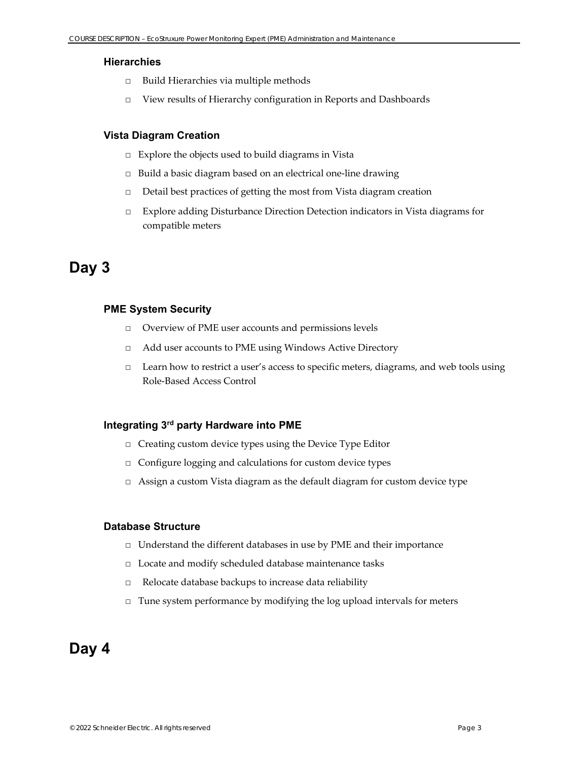### **Hierarchies**

- □ Build Hierarchies via multiple methods
- □ View results of Hierarchy configuration in Reports and Dashboards

### **Vista Diagram Creation**

- □ Explore the objects used to build diagrams in Vista
- □ Build a basic diagram based on an electrical one-line drawing
- □ Detail best practices of getting the most from Vista diagram creation
- □ Explore adding Disturbance Direction Detection indicators in Vista diagrams for compatible meters

### **Day 3**

### **PME System Security**

- □ Overview of PME user accounts and permissions levels
- □ Add user accounts to PME using Windows Active Directory
- □ Learn how to restrict a user's access to specific meters, diagrams, and web tools using Role‐Based Access Control

### **Integrating 3rd party Hardware into PME**

- □ Creating custom device types using the Device Type Editor
- □ Configure logging and calculations for custom device types
- $\Box$  Assign a custom Vista diagram as the default diagram for custom device type

#### **Database Structure**

- □ Understand the different databases in use by PME and their importance
- □ Locate and modify scheduled database maintenance tasks
- □ Relocate database backups to increase data reliability
- □ Tune system performance by modifying the log upload intervals for meters

### **Day 4**